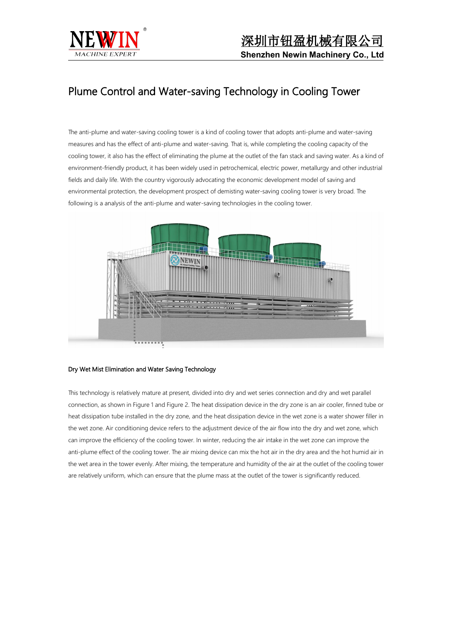

# Plume Control and Water-saving Technology in Cooling Tower

The anti-plume and water-saving cooling tower is a kind of cooling tower that adopts anti-plume and water-saving measures and has the effect of anti-plume and water-saving. That is, while completing the cooling capacity of the cooling tower, it also has the effect of eliminating the plume at the outlet of the fan stack and saving water. As a kind of environment-friendly product, it has been widely used in petrochemical, electric power, metallurgy and other industrial fields and daily life. With the country vigorously advocating the economic development model of saving and environmental protection, the development prospect of demisting water-saving cooling tower is very broad. The following is a analysis of the anti-plume and water-saving technologies in the cooling tower.



## Dry Wet Mist Elimination and Water Saving Technology

This technology is relatively mature at present, divided into dry and wet series connection and dry and wet parallel connection, as shown in Figure 1 and Figure 2. The heat dissipation device in the dry zone is an air cooler, finned tube or heat dissipation tube installed in the dry zone, and the heat dissipation device in the wet zone is a water shower filler in the wet zone. Air conditioning device refers to the adjustment device of the air flow into the dry and wet zone, which can improve the efficiency of the cooling tower. In winter, reducing the air intake in the wet zone can improve the anti-plume effect of the cooling tower. The air mixing device can mix the hot air in the dry area and the hot humid air in the wet area in the tower evenly. After mixing, the temperature and humidity of the air at the outlet of the cooling tower are relatively uniform, which can ensure that the plume mass at the outlet of the tower is significantly reduced.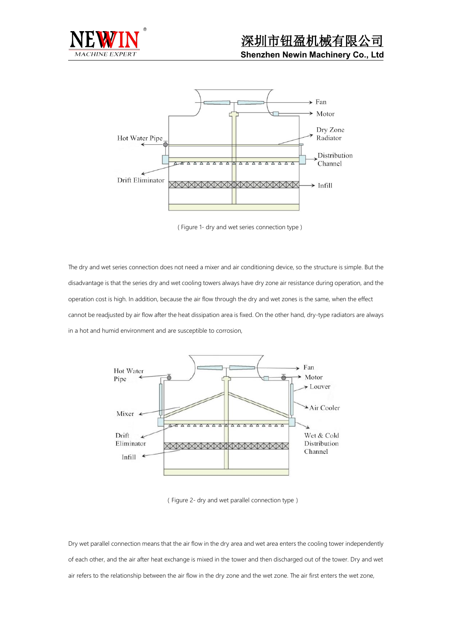



( Figure 1- dry and wet series connection type )

The dry and wet series connection does not need a mixer and air conditioning device, so the structure is simple. But the disadvantage is that the series dry and wet cooling towers always have dry zone air resistance during operation, and the operation cost is high. In addition, because the air flow through the dry and wet zones is the same, when the effect cannot be readjusted by air flow after the heat dissipation area is fixed. On the other hand, dry-type radiators are always in a hot and humid environment and are susceptible to corrosion,



(Figure 2- dry and wet parallel connection type)

Dry wet parallel connection means that the air flow in the dry area and wet area enters the cooling tower independently of each other, and the air after heat exchange is mixed in the tower and then discharged out of the tower. Dry and wet air refers to the relationship between the air flow in the dry zone and the wet zone. The air first enters the wet zone,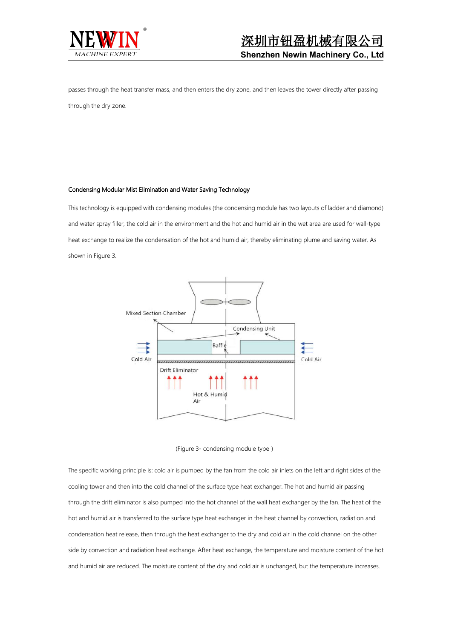

passes through the heat transfer mass, and then enters the dry zone, and then leaves the tower directly after passing through the dry zone.

### Condensing Modular Mist Elimination and Water Saving Technology

This technology is equipped with condensing modules (the condensing module has two layouts of ladder and diamond) and water spray filler, the cold air in the environment and the hot and humid air in the wet area are used for wall-type heat exchange to realize the condensation of the hot and humid air, thereby eliminating plume and saving water. As shown in Figure 3.



(Figure 3- condensing module type)

The specific working principle is: cold air is pumped by the fan from the cold airinlets on the left and right sides of the cooling tower and then into the cold channel of the surface type heat exchanger. The hot and humid air passing through the drift eliminator is also pumped into the hot channel of the wall heat exchanger by the fan. The heat of the hot and humid air is transferred to the surface type heat exchanger in the heat channel by convection, radiation and condensation heat release, then through the heat exchanger to the dry and cold air in the cold channel on the other side by convection and radiation heat exchange. After heat exchange, the temperature and moisture content of the hot and humid air are reduced. The moisture content of the dry and cold air is unchanged, but the temperature increases.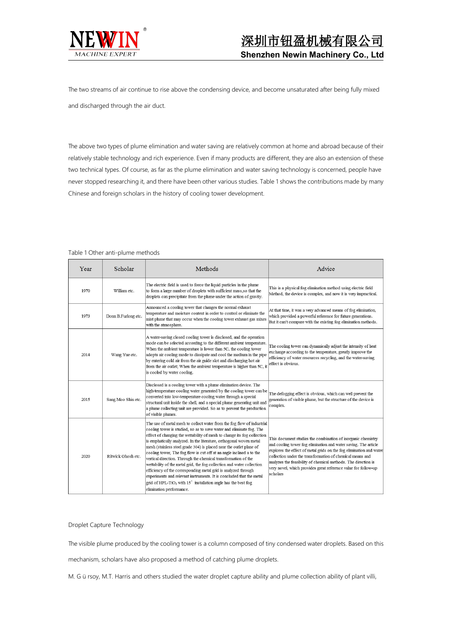

The two streams of air continue to rise above the condensing device, and become unsaturated after being fully mixed and discharged through the air duct.

The above two types of plume elimination and water saving are relatively common at home and abroad because of their relatively stable technology and rich experience. Even if many products are different, they are also an extension of these two technical types. Of course, as far as the plume elimination and water saving technology is concerned, people have never stopped researching it, and there have been other various studies.Table 1 shows the contributions made by many Chinese and foreign scholars in the history of cooling tower development.

| Year | Scholar             | Methods                                                                                                                                                                                                                                                                                                                                                                                                                                                                                                                                                                                                                                                                                                                                                                                                                                                 | Advice                                                                                                                                                                                                                                                                                                                                                                                                              |
|------|---------------------|---------------------------------------------------------------------------------------------------------------------------------------------------------------------------------------------------------------------------------------------------------------------------------------------------------------------------------------------------------------------------------------------------------------------------------------------------------------------------------------------------------------------------------------------------------------------------------------------------------------------------------------------------------------------------------------------------------------------------------------------------------------------------------------------------------------------------------------------------------|---------------------------------------------------------------------------------------------------------------------------------------------------------------------------------------------------------------------------------------------------------------------------------------------------------------------------------------------------------------------------------------------------------------------|
| 1970 | William etc.        | The electric field is used to force the liquid particles in the plume<br>to form a large number of droplets with sufficient mass, so that the<br>droplets can precipitate from the plume under the action of gravity.                                                                                                                                                                                                                                                                                                                                                                                                                                                                                                                                                                                                                                   | This is a physical fog elimination method using electric field<br>Method, the device is complex, and now it is very impractical.                                                                                                                                                                                                                                                                                    |
| 1973 | Donn B.Furlong etc. | Announced a cooling tower that changes the normal exhaust<br>temperature and moisture content in order to control or eliminate the<br>mist plume that may occur when the cooling tower exhaust gas mixes<br>with the atmosphere.                                                                                                                                                                                                                                                                                                                                                                                                                                                                                                                                                                                                                        | At that time, it was a very advanced means of fog elimination,<br>which provided a powerful reference for future generations.<br>But it can't compare with the existing fog elimination methods.                                                                                                                                                                                                                    |
| 2014 | Wang Yue etc.       | A water-saving closed cooling tower is disclosed, and the operation<br>mode can be selected according to the different ambient temperature.<br>When the ambient temperature is lower than 5C, the cooling tower<br>adopts air cooling mode to dissipate and cool the medium in the pipe<br>by entering cold air from the air guide slot and discharging hot air<br>from the air outlet; When the ambient temperature is higher than 5C, it<br>is cooled by water cooling.                                                                                                                                                                                                                                                                                                                                                                               | The cooling tower can dynamically adjust the intensity of heat<br>exchange according to the temperature, greatly improve the<br>efficiency of water resources recycling, and the water-saving<br>effect is obvious.                                                                                                                                                                                                 |
| 2015 | Sang Moo Shin etc.  | Disclosed is a cooling tower with a plume elimination device. The<br>high-temperature cooling water generated by the cooling tower can be<br>converted into low-temperature cooling water through a special<br>structural unit inside the shell, and a special plume generating unit and<br>a plume collecting unit are provided. So as to prevent the production<br>of visible plumes.                                                                                                                                                                                                                                                                                                                                                                                                                                                                 | The defogging effect is obvious, which can well prevent the<br>generation of visible plume, but the structure of the device is<br>complex.                                                                                                                                                                                                                                                                          |
| 2020 | Ritwick Ghosh etc.  | The use of metal mesh to collect water from the fog flow of industrial<br>cooling tower is studied, so as to save water and eliminate fog. The<br>effect of changing the wettability of mesh to change its fog collection<br>is emphatically analyzed. In the literature, orthogonal woven metal<br>mesh (stainless steel grade 304) is placed near the outlet plane of<br>cooling tower, The fog flow is cut off at an angle inclined a to the<br>vertical direction. Through the chemical transformation of the<br>wettability of the metal grid, the fog collection and water collection<br>efficiency of the corresponding metal grid is analyzed through<br>experiments and relevant instruments. It is concluded that the metal<br>grid of HPL-TiO <sub>2</sub> with $15^{\circ}$ installation angle has the best fog<br>elimination performance. | This document studies the combination of inorganic chemistry<br>and cooling tower fog elimination and water saving. The article<br>explores the effect of metal grids on the fog elimination and water<br>collection under the transformation of chemical means and<br>analyzes the feasibility of chemical methods. The direction is<br>very novel, which provides great reference value for follow-up<br>scholars |

Table 1 Other anti-plume methods

## Droplet Capture Technology

The visible plume produced by the cooling tower is a column composed of tiny condensed water droplets. Based on this

mechanism, scholars have also proposed a method of catching plume droplets.

M. G ü rsoy, M.T. Harris and others studied the water droplet capture ability and plume collection ability of plant villi,